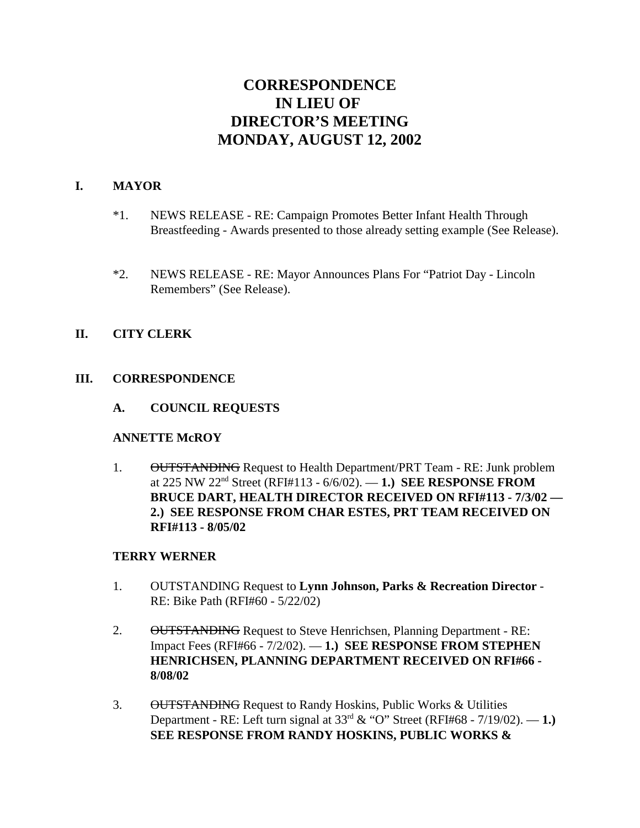# **CORRESPONDENCE IN LIEU OF DIRECTOR'S MEETING MONDAY, AUGUST 12, 2002**

#### **I. MAYOR**

- \*1. NEWS RELEASE RE: Campaign Promotes Better Infant Health Through Breastfeeding - Awards presented to those already setting example (See Release).
- \*2. NEWS RELEASE RE: Mayor Announces Plans For "Patriot Day Lincoln Remembers" (See Release).

## **II. CITY CLERK**

#### **III. CORRESPONDENCE**

**A. COUNCIL REQUESTS**

#### **ANNETTE McROY**

1. OUTSTANDING Request to Health Department/PRT Team - RE: Junk problem at 225 NW 22nd Street (RFI#113 - 6/6/02). — **1.) SEE RESPONSE FROM BRUCE DART, HEALTH DIRECTOR RECEIVED ON RFI#113 - 7/3/02 — 2.) SEE RESPONSE FROM CHAR ESTES, PRT TEAM RECEIVED ON RFI#113 - 8/05/02** 

#### **TERRY WERNER**

- 1. OUTSTANDING Request to **Lynn Johnson, Parks & Recreation Director** RE: Bike Path (RFI#60 - 5/22/02)
- 2. OUTSTANDING Request to Steve Henrichsen, Planning Department RE: Impact Fees (RFI#66 - 7/2/02). — **1.) SEE RESPONSE FROM STEPHEN HENRICHSEN, PLANNING DEPARTMENT RECEIVED ON RFI#66 - 8/08/02**
- 3. OUTSTANDING Request to Randy Hoskins, Public Works & Utilities Department - RE: Left turn signal at 33rd & "O" Street (RFI#68 - 7/19/02). — **1.) SEE RESPONSE FROM RANDY HOSKINS, PUBLIC WORKS &**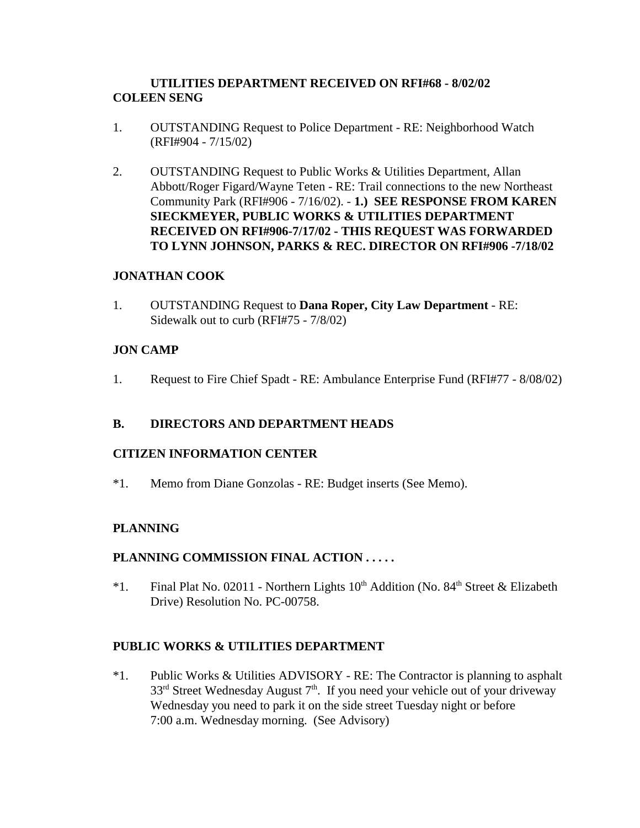## **UTILITIES DEPARTMENT RECEIVED ON RFI#68 - 8/02/02 COLEEN SENG**

- 1. OUTSTANDING Request to Police Department RE: Neighborhood Watch (RFI#904 - 7/15/02)
- 2. OUTSTANDING Request to Public Works & Utilities Department, Allan Abbott/Roger Figard/Wayne Teten - RE: Trail connections to the new Northeast Community Park (RFI#906 - 7/16/02). - **1.) SEE RESPONSE FROM KAREN SIECKMEYER, PUBLIC WORKS & UTILITIES DEPARTMENT RECEIVED ON RFI#906-7/17/02 - THIS REQUEST WAS FORWARDED TO LYNN JOHNSON, PARKS & REC. DIRECTOR ON RFI#906 -7/18/02**

## **JONATHAN COOK**

1. OUTSTANDING Request to **Dana Roper, City Law Department** - RE: Sidewalk out to curb (RFI#75 - 7/8/02)

# **JON CAMP**

1. Request to Fire Chief Spadt - RE: Ambulance Enterprise Fund (RFI#77 - 8/08/02)

## **B. DIRECTORS AND DEPARTMENT HEADS**

## **CITIZEN INFORMATION CENTER**

\*1. Memo from Diane Gonzolas - RE: Budget inserts (See Memo).

# **PLANNING**

## **PLANNING COMMISSION FINAL ACTION . . . . .**

\*1. Final Plat No. 02011 - Northern Lights  $10<sup>th</sup>$  Addition (No. 84<sup>th</sup> Street & Elizabeth Drive) Resolution No. PC-00758.

## **PUBLIC WORKS & UTILITIES DEPARTMENT**

\*1. Public Works & Utilities ADVISORY - RE: The Contractor is planning to asphalt  $33<sup>rd</sup>$  Street Wednesday August  $7<sup>th</sup>$ . If you need your vehicle out of your driveway Wednesday you need to park it on the side street Tuesday night or before 7:00 a.m. Wednesday morning. (See Advisory)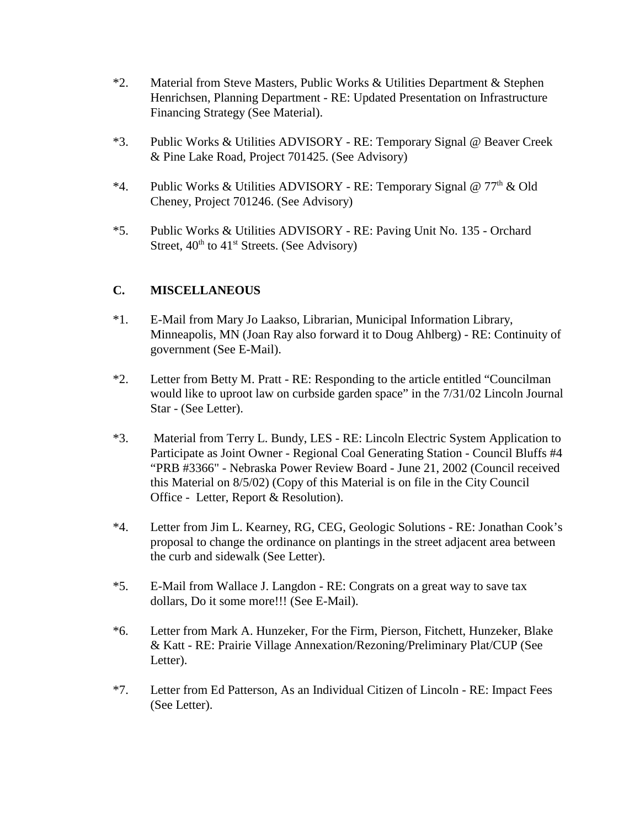- \*2. Material from Steve Masters, Public Works & Utilities Department & Stephen Henrichsen, Planning Department - RE: Updated Presentation on Infrastructure Financing Strategy (See Material).
- \*3. Public Works & Utilities ADVISORY RE: Temporary Signal @ Beaver Creek & Pine Lake Road, Project 701425. (See Advisory)
- \*4. Public Works & Utilities ADVISORY RE: Temporary Signal @  $77<sup>th</sup>$  & Old Cheney, Project 701246. (See Advisory)
- \*5. Public Works & Utilities ADVISORY RE: Paving Unit No. 135 Orchard Street,  $40<sup>th</sup>$  to  $41<sup>st</sup>$  Streets. (See Advisory)

## **C. MISCELLANEOUS**

- \*1. E-Mail from Mary Jo Laakso, Librarian, Municipal Information Library, Minneapolis, MN (Joan Ray also forward it to Doug Ahlberg) - RE: Continuity of government (See E-Mail).
- \*2. Letter from Betty M. Pratt RE: Responding to the article entitled "Councilman would like to uproot law on curbside garden space" in the 7/31/02 Lincoln Journal Star - (See Letter).
- \*3. Material from Terry L. Bundy, LES RE: Lincoln Electric System Application to Participate as Joint Owner - Regional Coal Generating Station - Council Bluffs #4 "PRB #3366" - Nebraska Power Review Board - June 21, 2002 (Council received this Material on 8/5/02) (Copy of this Material is on file in the City Council Office - Letter, Report & Resolution).
- \*4. Letter from Jim L. Kearney, RG, CEG, Geologic Solutions RE: Jonathan Cook's proposal to change the ordinance on plantings in the street adjacent area between the curb and sidewalk (See Letter).
- \*5. E-Mail from Wallace J. Langdon RE: Congrats on a great way to save tax dollars, Do it some more!!! (See E-Mail).
- \*6. Letter from Mark A. Hunzeker, For the Firm, Pierson, Fitchett, Hunzeker, Blake & Katt - RE: Prairie Village Annexation/Rezoning/Preliminary Plat/CUP (See Letter).
- \*7. Letter from Ed Patterson, As an Individual Citizen of Lincoln RE: Impact Fees (See Letter).